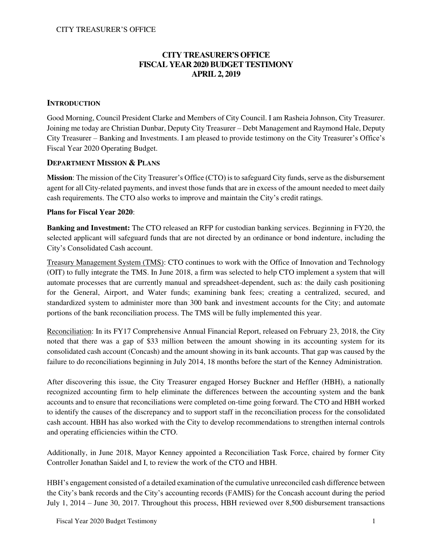# **CITY TREASURER'S OFFICE FISCAL YEAR 2020 BUDGET TESTIMONY APRIL 2, 2019**

## **INTRODUCTION**

Good Morning, Council President Clarke and Members of City Council. I am Rasheia Johnson, City Treasurer. Joining me today are Christian Dunbar, Deputy City Treasurer – Debt Management and Raymond Hale, Deputy City Treasurer – Banking and Investments. I am pleased to provide testimony on the City Treasurer's Office's Fiscal Year 2020 Operating Budget.

### **DEPARTMENT MISSION & PLANS**

**Mission**: The mission of the City Treasurer's Office (CTO) is to safeguard City funds, serve as the disbursement agent for all City-related payments, and invest those funds that are in excess of the amount needed to meet daily cash requirements. The CTO also works to improve and maintain the City's credit ratings.

### **Plans for Fiscal Year 2020**:

**Banking and Investment:** The CTO released an RFP for custodian banking services. Beginning in FY20, the selected applicant will safeguard funds that are not directed by an ordinance or bond indenture, including the City's Consolidated Cash account.

Treasury Management System (TMS): CTO continues to work with the Office of Innovation and Technology (OIT) to fully integrate the TMS. In June 2018, a firm was selected to help CTO implement a system that will automate processes that are currently manual and spreadsheet-dependent, such as: the daily cash positioning for the General, Airport, and Water funds; examining bank fees; creating a centralized, secured, and standardized system to administer more than 300 bank and investment accounts for the City; and automate portions of the bank reconciliation process. The TMS will be fully implemented this year.

Reconciliation: In its FY17 Comprehensive Annual Financial Report, released on February 23, 2018, the City noted that there was a gap of \$33 million between the amount showing in its accounting system for its consolidated cash account (Concash) and the amount showing in its bank accounts. That gap was caused by the failure to do reconciliations beginning in July 2014, 18 months before the start of the Kenney Administration.

After discovering this issue, the City Treasurer engaged Horsey Buckner and Heffler (HBH), a nationally recognized accounting firm to help eliminate the differences between the accounting system and the bank accounts and to ensure that reconciliations were completed on-time going forward. The CTO and HBH worked to identify the causes of the discrepancy and to support staff in the reconciliation process for the consolidated cash account. HBH has also worked with the City to develop recommendations to strengthen internal controls and operating efficiencies within the CTO.

Additionally, in June 2018, Mayor Kenney appointed a Reconciliation Task Force, chaired by former City Controller Jonathan Saidel and I, to review the work of the CTO and HBH.

HBH's engagement consisted of a detailed examination of the cumulative unreconciled cash difference between the City's bank records and the City's accounting records (FAMIS) for the Concash account during the period July 1, 2014 – June 30, 2017. Throughout this process, HBH reviewed over 8,500 disbursement transactions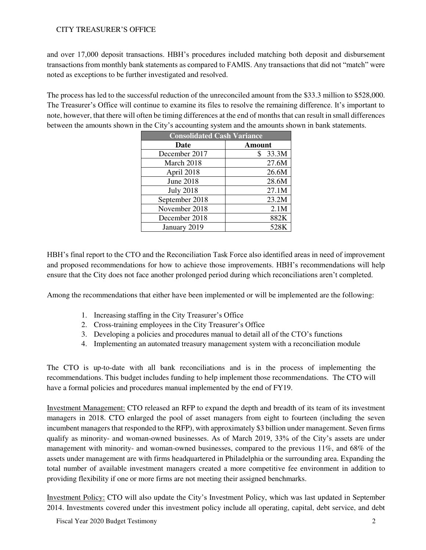and over 17,000 deposit transactions. HBH's procedures included matching both deposit and disbursement transactions from monthly bank statements as compared to FAMIS. Any transactions that did not "match" were noted as exceptions to be further investigated and resolved.

The process has led to the successful reduction of the unreconciled amount from the \$33.3 million to \$528,000. The Treasurer's Office will continue to examine its files to resolve the remaining difference. It's important to note, however, that there will often be timing differences at the end of months that can result in small differences between the amounts shown in the City's accounting system and the amounts shown in bank statements.

| <b>Consolidated Cash Variance</b> |               |  |  |  |  |  |
|-----------------------------------|---------------|--|--|--|--|--|
| Date                              | <b>Amount</b> |  |  |  |  |  |
| December 2017                     | 33.3M<br>\$   |  |  |  |  |  |
| March 2018                        | 27.6M         |  |  |  |  |  |
| April 2018                        | 26.6M         |  |  |  |  |  |
| <b>June 2018</b>                  | 28.6M         |  |  |  |  |  |
| <b>July 2018</b>                  | 27.1M         |  |  |  |  |  |
| September 2018                    | 23.2M         |  |  |  |  |  |
| November 2018                     | 2.1M          |  |  |  |  |  |
| December 2018                     | 882K          |  |  |  |  |  |
| January 2019                      | 528K          |  |  |  |  |  |

HBH's final report to the CTO and the Reconciliation Task Force also identified areas in need of improvement and proposed recommendations for how to achieve those improvements. HBH's recommendations will help ensure that the City does not face another prolonged period during which reconciliations aren't completed.

Among the recommendations that either have been implemented or will be implemented are the following:

- 1. Increasing staffing in the City Treasurer's Office
- 2. Cross-training employees in the City Treasurer's Office
- 3. Developing a policies and procedures manual to detail all of the CTO's functions
- 4. Implementing an automated treasury management system with a reconciliation module

The CTO is up-to-date with all bank reconciliations and is in the process of implementing the recommendations. This budget includes funding to help implement those recommendations. The CTO will have a formal policies and procedures manual implemented by the end of FY19.

Investment Management: CTO released an RFP to expand the depth and breadth of its team of its investment managers in 2018. CTO enlarged the pool of asset managers from eight to fourteen (including the seven incumbent managers that responded to the RFP), with approximately \$3 billion under management. Seven firms qualify as minority- and woman-owned businesses. As of March 2019, 33% of the City's assets are under management with minority- and woman-owned businesses, compared to the previous 11%, and 68% of the assets under management are with firms headquartered in Philadelphia or the surrounding area. Expanding the total number of available investment managers created a more competitive fee environment in addition to providing flexibility if one or more firms are not meeting their assigned benchmarks.

Investment Policy: CTO will also update the City's Investment Policy, which was last updated in September 2014. Investments covered under this investment policy include all operating, capital, debt service, and debt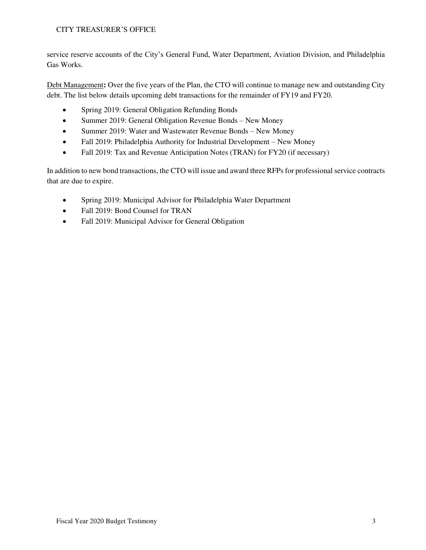service reserve accounts of the City's General Fund, Water Department, Aviation Division, and Philadelphia Gas Works.

Debt Management**:** Over the five years of the Plan, the CTO will continue to manage new and outstanding City debt. The list below details upcoming debt transactions for the remainder of FY19 and FY20.

- Spring 2019: General Obligation Refunding Bonds
- Summer 2019: General Obligation Revenue Bonds New Money
- Summer 2019: Water and Wastewater Revenue Bonds New Money
- Fall 2019: Philadelphia Authority for Industrial Development New Money
- Fall 2019: Tax and Revenue Anticipation Notes (TRAN) for FY20 (if necessary)

In addition to new bond transactions, the CTO will issue and award three RFPs for professional service contracts that are due to expire.

- Spring 2019: Municipal Advisor for Philadelphia Water Department
- Fall 2019: Bond Counsel for TRAN
- Fall 2019: Municipal Advisor for General Obligation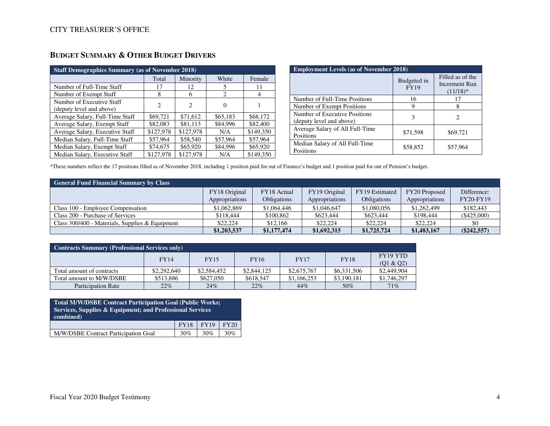| <b>Staff Demographics Summary (as of November 2018)</b> |                |                             |          |           |  |  |  |  |  |
|---------------------------------------------------------|----------------|-----------------------------|----------|-----------|--|--|--|--|--|
|                                                         | Total          | Minority                    | White    | Female    |  |  |  |  |  |
| Number of Full-Time Staff                               | 17             | 12                          | 5        | 11        |  |  |  |  |  |
| Number of Exempt Staff                                  | 8              | 6                           | 2        | 4         |  |  |  |  |  |
| Number of Executive Staff                               | $\overline{2}$ | $\mathcal{D}_{\mathcal{L}}$ | 0        |           |  |  |  |  |  |
| (deputy level and above)                                |                |                             |          |           |  |  |  |  |  |
| Average Salary, Full-Time Staff                         | \$69,721       | \$71,612                    | \$65,183 | \$68,172  |  |  |  |  |  |
| Average Salary, Exempt Staff                            | \$82,083       | \$81,113                    | \$84,996 | \$82,400  |  |  |  |  |  |
| Average Salary, Executive Staff                         | \$127,978      | \$127,978                   | N/A      | \$149,350 |  |  |  |  |  |
| Median Salary, Full-Time Staff                          | \$57,964       | \$58,540                    | \$57,964 | \$57,964  |  |  |  |  |  |
| Median Salary, Exempt Staff                             | \$74,675       | \$65,920                    | \$84,996 | \$65,920  |  |  |  |  |  |
| Median Salary, Executive Staff                          | \$127,978      | \$127,978                   | N/A      | \$149,350 |  |  |  |  |  |

# **BUDGET SUMMARY & OTHER BUDGET DRIVERS**

| <b>Employment Levels (as of November 2018)</b>            |                            |                                                  |  |  |  |  |  |  |
|-----------------------------------------------------------|----------------------------|--------------------------------------------------|--|--|--|--|--|--|
|                                                           | Budgeted in<br><b>FY19</b> | Filled as of the<br>Increment Run<br>$(11/18)^*$ |  |  |  |  |  |  |
| Number of Full-Time Positions                             | 16                         | 17                                               |  |  |  |  |  |  |
| Number of Exempt Positions                                | 9                          |                                                  |  |  |  |  |  |  |
| Number of Executive Positions<br>(deputy level and above) | 3                          | 2                                                |  |  |  |  |  |  |
| Average Salary of All Full-Time<br>Positions              | \$71,598                   | \$69,721                                         |  |  |  |  |  |  |
| Median Salary of All Full-Time<br>Positions               | \$58,852                   | \$57,964                                         |  |  |  |  |  |  |

\*These numbers reflect the 17 positions filled as of November 2018, including 1 position paid for out of Finance's budget and 1 position paid for out of Pension's budget.

| <b>General Fund Financial Summary by Class</b>    |                                 |                            |                                 |                               |                                 |                                 |  |  |  |  |
|---------------------------------------------------|---------------------------------|----------------------------|---------------------------------|-------------------------------|---------------------------------|---------------------------------|--|--|--|--|
|                                                   | FY18 Original<br>Appropriations | FY18 Actual<br>Obligations | FY19 Original<br>Appropriations | FY19 Estimated<br>Obligations | FY20 Proposed<br>Appropriations | Difference:<br><b>FY20-FY19</b> |  |  |  |  |
| Class 100 - Employee Compensation                 | \$1,062,869                     | \$1,064,446                | \$1,046,647                     | \$1,080,056                   | \$1,262,499                     | \$182,443                       |  |  |  |  |
| Class 200 - Purchase of Services                  | \$118,444                       | \$100,862                  | \$623,444                       | \$623,444                     | \$198,444                       | $(\$425,000)$                   |  |  |  |  |
| Class $300/400$ - Materials, Supplies & Equipment | \$22,224                        | \$12,166                   | \$22,224                        | \$22,224                      | \$22,224                        | \$0                             |  |  |  |  |
|                                                   | \$1,203,537                     | \$1,177,474                | \$1,692,315                     | \$1,725,724                   | \$1,483,167                     | $(\$242,557)$                   |  |  |  |  |

| <b>Contracts Summary (Professional Services only)</b> |             |             |             |             |             |                       |  |  |  |  |
|-------------------------------------------------------|-------------|-------------|-------------|-------------|-------------|-----------------------|--|--|--|--|
|                                                       | <b>FY14</b> | <b>FY15</b> | <b>FY16</b> | <b>FY17</b> | <b>FY18</b> | FY19 YTD<br>(01 & 02) |  |  |  |  |
| Total amount of contracts                             | \$2,292,640 | \$2,584,452 | \$2,844,125 | \$2,675,767 | \$6,331,506 | \$2,449,904           |  |  |  |  |
| Total amount to M/W/DSBE                              | \$513,886   | \$627,050   | \$618,547   | \$1,166,253 | \$3,190,181 | \$1,746,297           |  |  |  |  |
| <b>Participation Rate</b>                             | 22%         | 24%         | 22%         | 44%         | 50%         | 71%                   |  |  |  |  |

| <b>Total M/W/DSBE Contract Participation Goal (Public Works;</b><br>Services, Supplies & Equipment; and Professional Services<br>combined) |             |             |             |
|--------------------------------------------------------------------------------------------------------------------------------------------|-------------|-------------|-------------|
|                                                                                                                                            | <b>FY18</b> | <b>FY19</b> | <b>FY20</b> |
| M/W/DSBE Contract Participation Goal                                                                                                       | 30%         | 30%         | 30%         |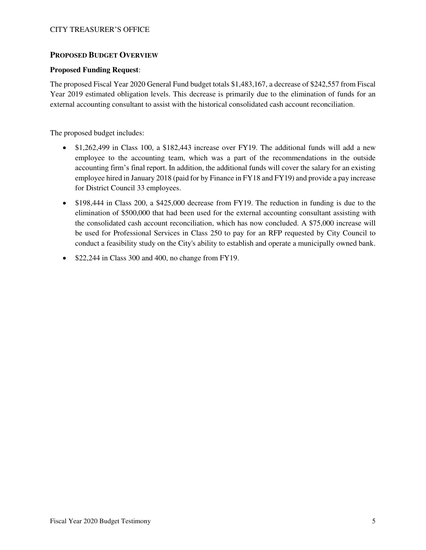### **PROPOSED BUDGET OVERVIEW**

### **Proposed Funding Request**:

The proposed Fiscal Year 2020 General Fund budget totals \$1,483,167, a decrease of \$242,557 from Fiscal Year 2019 estimated obligation levels. This decrease is primarily due to the elimination of funds for an external accounting consultant to assist with the historical consolidated cash account reconciliation.

The proposed budget includes:

- \$1,262,499 in Class 100, a \$182,443 increase over FY19. The additional funds will add a new employee to the accounting team, which was a part of the recommendations in the outside accounting firm's final report. In addition, the additional funds will cover the salary for an existing employee hired in January 2018 (paid for by Finance in FY18 and FY19) and provide a pay increase for District Council 33 employees.
- \$198,444 in Class 200, a \$425,000 decrease from FY19. The reduction in funding is due to the elimination of \$500,000 that had been used for the external accounting consultant assisting with the consolidated cash account reconciliation, which has now concluded. A \$75,000 increase will be used for Professional Services in Class 250 to pay for an RFP requested by City Council to conduct a feasibility study on the City's ability to establish and operate a municipally owned bank.
- \$22,244 in Class 300 and 400, no change from FY19.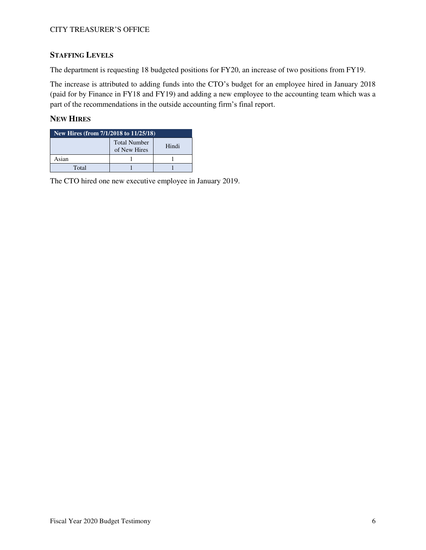# **STAFFING LEVELS**

The department is requesting 18 budgeted positions for FY20, an increase of two positions from FY19.

The increase is attributed to adding funds into the CTO's budget for an employee hired in January 2018 (paid for by Finance in FY18 and FY19) and adding a new employee to the accounting team which was a part of the recommendations in the outside accounting firm's final report.

## **NEW HIRES**

| New Hires (from 7/1/2018 to 11/25/18) |                                     |       |  |  |  |  |  |
|---------------------------------------|-------------------------------------|-------|--|--|--|--|--|
|                                       | <b>Total Number</b><br>of New Hires | Hindi |  |  |  |  |  |
| Asian                                 |                                     |       |  |  |  |  |  |
| Total                                 |                                     |       |  |  |  |  |  |

The CTO hired one new executive employee in January 2019.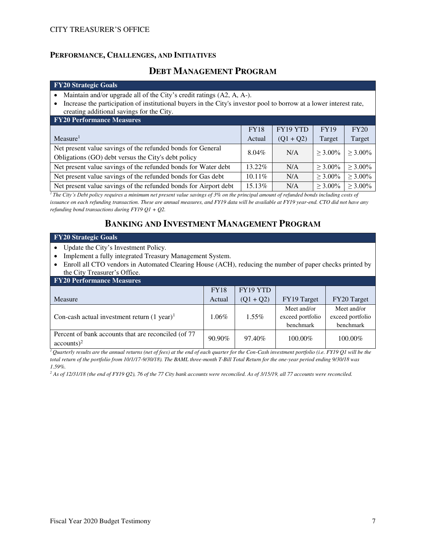## **PERFORMANCE, CHALLENGES, AND INITIATIVES**

# **DEBT MANAGEMENT PROGRAM**

#### **FY20 Strategic Goals**

- Maintain and/or upgrade all of the City's credit ratings (A2, A, A-).
- Increase the participation of institutional buyers in the City's investor pool to borrow at a lower interest rate, creating additional savings for the City.

| <b>FY20 Performance Measures</b>                                 |             |                 |             |               |  |  |  |  |  |
|------------------------------------------------------------------|-------------|-----------------|-------------|---------------|--|--|--|--|--|
|                                                                  | <b>FY18</b> | <b>FY19 YTD</b> | <b>FY19</b> | FY20          |  |  |  |  |  |
| Measure <sup>1</sup>                                             | Actual      | $(Q1 + Q2)$     | Target      | Target        |  |  |  |  |  |
| Net present value savings of the refunded bonds for General      | 8.04%       | N/A             | $>$ 3.00%   | $>$ 3.00%     |  |  |  |  |  |
| Obligations (GO) debt versus the City's debt policy              |             |                 |             |               |  |  |  |  |  |
| Net present value savings of the refunded bonds for Water debt   | 13.22%      | N/A             | $>$ 3.00%   | $> 3.00\%$    |  |  |  |  |  |
| Net present value savings of the refunded bonds for Gas debt     | $10.11\%$   | N/A             | $>$ 3.00%   | $> 3.00\%$    |  |  |  |  |  |
| Net present value savings of the refunded bonds for Airport debt | 15.13%      | N/A             | $>$ 3.00%   | $\geq 3.00\%$ |  |  |  |  |  |

*<sup>1</sup>The City's Debt policy requires a minimum net present value savings of 3% on the principal amount of refunded bonds including costs of issuance on each refunding transaction. These are annual measures, and FY19 data will be available at FY19 year-end. CTO did not have any refunding bond transactions during FY19 Q1 + Q2.*

# **BANKING AND INVESTMENT MANAGEMENT PROGRAM**

#### **FY20 Strategic Goals**

- Update the City's Investment Policy.
- Implement a fully integrated Treasury Management System.
- Enroll all CTO vendors in Automated Clearing House (ACH), reducing the number of paper checks printed by the City Treasurer's Office.

| <b>FY20 Performance Measures</b>                                     |             |             |                                              |                                              |  |  |  |  |
|----------------------------------------------------------------------|-------------|-------------|----------------------------------------------|----------------------------------------------|--|--|--|--|
|                                                                      | <b>FY18</b> | FY19 YTD    |                                              |                                              |  |  |  |  |
| Measure                                                              | Actual      | $(Q1 + Q2)$ | FY19 Target                                  | FY20 Target                                  |  |  |  |  |
| Con-cash actual investment return $(1 \text{ year})^1$               | $1.06\%$    | $1.55\%$    | Meet and/or<br>exceed portfolio<br>benchmark | Meet and/or<br>exceed portfolio<br>benchmark |  |  |  |  |
| Percent of bank accounts that are reconciled (of 77<br>$accounts)^2$ | $90.90\%$   | 97.40%      | 100.00%                                      | 100.00%                                      |  |  |  |  |

<sup>1</sup>*Quarterly results are the annual returns (net of fees) at the end of each quarter for the Con-Cash investment portfolio (i.e. FY19 Q1 will be the total return of the portfolio from 10/1/17-9/30/18). The BAML three-month T-Bill Total Return for the one-year period ending 9/30/18 was 1.59%.*

*2 As of 12/31/18 (the end of FY19 Q2), 76 of the 77 City bank accounts were reconciled. As of 3/15/19, all 77 accounts were reconciled.*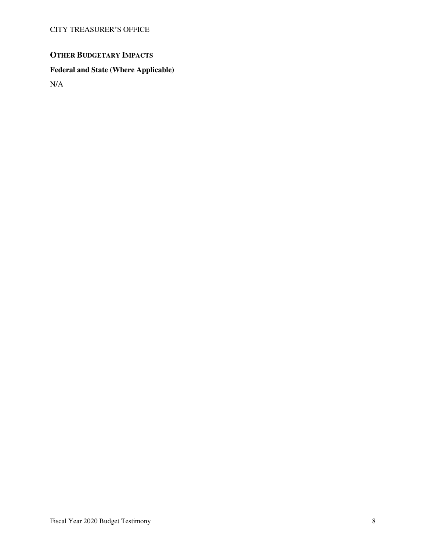# **OTHER BUDGETARY IMPACTS**

# **Federal and State (Where Applicable)**

N/A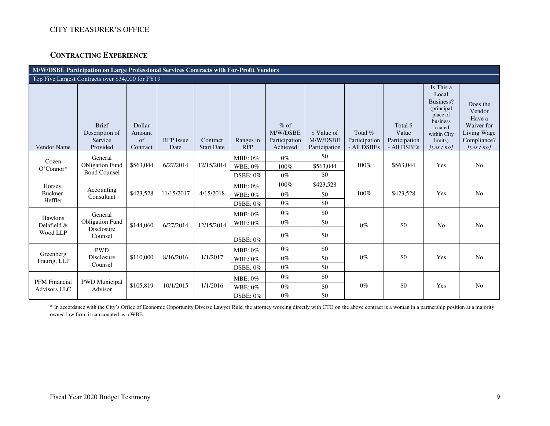## **CONTRACTING EXPERIENCE**

| M/W/DSBE Participation on Large Professional Services Contracts with For-Profit Vendors |                                                            |                                    |                          |                               |                                       |                                                 |                                          |                                         |                                                   |                                                                                                                             |                                                                                          |
|-----------------------------------------------------------------------------------------|------------------------------------------------------------|------------------------------------|--------------------------|-------------------------------|---------------------------------------|-------------------------------------------------|------------------------------------------|-----------------------------------------|---------------------------------------------------|-----------------------------------------------------------------------------------------------------------------------------|------------------------------------------------------------------------------------------|
|                                                                                         | Top Five Largest Contracts over \$34,000 for FY19          |                                    |                          |                               |                                       |                                                 |                                          |                                         |                                                   |                                                                                                                             |                                                                                          |
| Vendor Name                                                                             | <b>Brief</b><br>Description of<br>Service<br>Provided      | Dollar<br>Amount<br>of<br>Contract | <b>RFP</b> Issue<br>Date | Contract<br><b>Start Date</b> | Ranges in<br><b>RFP</b>               | $%$ of<br>M/W/DSBE<br>Participation<br>Achieved | \$ Value of<br>M/W/DSBE<br>Participation | Total %<br>Participation<br>- All DSBEs | Total \$<br>Value<br>Participation<br>- All DSBEs | Is This a<br>Local<br>Business?<br>(principal)<br>place of<br>business<br>located<br>within City<br>limits)<br>[yes $/$ no] | Does the<br>Vendor<br>Have a<br>Waiver for<br>Living Wage<br>Compliance?<br>[yes $/no$ ] |
| Cozen<br>O'Connor*                                                                      | General<br><b>Obligation Fund</b><br><b>Bond Counsel</b>   | \$563,044                          | 6/27/2014                | 12/15/2014                    | MBE: 0%<br><b>WBE: 0%</b><br>DSBE: 0% | $0\%$<br>100%<br>$0\%$                          | \$0<br>\$563,044<br>\$0                  | 100%                                    | \$563,044                                         | Yes                                                                                                                         | N <sub>o</sub>                                                                           |
| Horsey,<br>Buckner,<br>Heffler                                                          | Accounting<br>Consultant                                   | \$423,528                          | 11/15/2017               | 4/15/2018                     | MBE: 0%<br>WBE: 0%<br>DSBE: 0%        | 100%<br>$0\%$<br>$0\%$                          | \$423,528<br>\$0<br>\$0                  | 100%                                    | \$423,528                                         | Yes                                                                                                                         | No                                                                                       |
| Hawkins<br>Delafield &<br>Wood LLP                                                      | General<br><b>Obligation Fund</b><br>Disclosure<br>Counsel | \$144,060                          | 6/27/2014                | 12/15/2014                    | MBE: 0%<br><b>WBE: 0%</b><br>DSBE: 0% | $0\%$<br>$0\%$<br>$0\%$                         | \$0<br>\$0<br>\$0                        | $0\%$                                   | \$0                                               | N <sub>0</sub>                                                                                                              | No                                                                                       |
| Greenberg<br>Traurig, LLP                                                               | <b>PWD</b><br>Disclosure<br>Counsel                        | \$110,000                          | 8/16/2016                | 1/1/2017                      | MBE: 0%<br><b>WBE: 0%</b><br>DSBE: 0% | $0\%$<br>$0\%$<br>$0\%$                         | \$0<br>\$0<br>\$0                        | $0\%$                                   | \$0                                               | Yes                                                                                                                         | N <sub>o</sub>                                                                           |
| <b>PFM</b> Financial<br><b>Advisors LLC</b>                                             | <b>PWD</b> Municipal<br>Advisor                            | \$105,819                          | 10/1/2015                | 1/1/2016                      | MBE: 0%<br><b>WBE: 0%</b><br>DSBE: 0% | $0\%$<br>$0\%$<br>$0\%$                         | \$0<br>\$0<br>\$0                        | $0\%$                                   | \$0                                               | Yes                                                                                                                         | No                                                                                       |

\* In accordance with the City's Office of Economic Opportunity Diverse Lawyer Rule, the attorney working directly with CTO on the above contract is a woman in a partnership position at a majority owned law firm, it can counted as a WBE.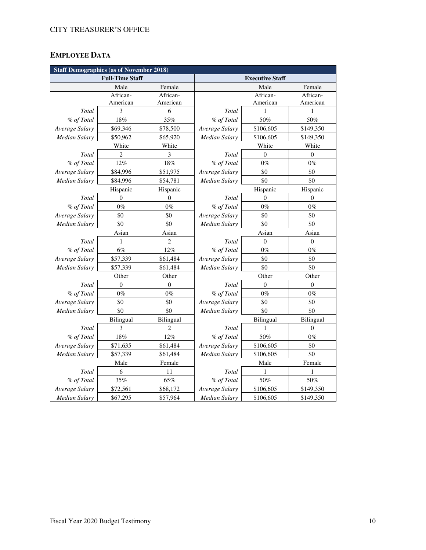# **EMPLOYEE DATA**

|                      | <b>Staff Demographics (as of November 2018)</b> |                |                        |                  |                  |  |  |  |  |
|----------------------|-------------------------------------------------|----------------|------------------------|------------------|------------------|--|--|--|--|
|                      | <b>Full-Time Staff</b>                          |                | <b>Executive Staff</b> |                  |                  |  |  |  |  |
|                      | Male                                            | Female         |                        | Male             | Female           |  |  |  |  |
|                      | African-                                        | African-       |                        | African-         | African-         |  |  |  |  |
|                      | American                                        | American       |                        | American         | American         |  |  |  |  |
| Total                | 3                                               | 6              | <b>Total</b>           | 1                | 1                |  |  |  |  |
| % of Total           | 18%                                             | 35%            | % of Total             | 50%              | 50%              |  |  |  |  |
| Average Salary       | \$69,346                                        | \$78,500       | Average Salary         | \$106,605        | \$149,350        |  |  |  |  |
| <b>Median Salary</b> | \$50,962                                        | \$65,920       | Median Salary          | \$106,605        | \$149,350        |  |  |  |  |
|                      | White                                           | White          |                        | White            | White            |  |  |  |  |
| Total                | $\overline{c}$                                  | 3              | Total                  | $\theta$         | $\boldsymbol{0}$ |  |  |  |  |
| % of Total           | 12%                                             | 18%            | % of Total             | $0\%$            | $0\%$            |  |  |  |  |
| Average Salary       | \$84,996                                        | \$51,975       | Average Salary         | \$0              | \$0              |  |  |  |  |
| Median Salary        | \$84,996                                        | \$54,781       | <b>Median Salary</b>   | \$0              | \$0              |  |  |  |  |
|                      | Hispanic                                        | Hispanic       |                        | Hispanic         | Hispanic         |  |  |  |  |
| Total                | $\overline{0}$                                  | $\theta$       | Total                  | $\theta$         | $\mathbf{0}$     |  |  |  |  |
| % of Total           | $0\%$                                           | $0\%$          | % of Total             | $0\%$            | $0\%$            |  |  |  |  |
| Average Salary       | \$0                                             | \$0            | Average Salary         | \$0              | \$0              |  |  |  |  |
| <b>Median Salary</b> | \$0                                             | \$0            | Median Salary          | \$0              | \$0              |  |  |  |  |
|                      | Asian                                           | Asian          | Asian                  |                  | Asian            |  |  |  |  |
| Total                | $\mathbf{1}$                                    | $\overline{c}$ | Total                  | $\boldsymbol{0}$ | $\boldsymbol{0}$ |  |  |  |  |
| % of Total           | $6\%$                                           | 12%            | % of Total             | $0\%$            | $0\%$            |  |  |  |  |
| Average Salary       | \$57,339                                        | \$61,484       | Average Salary         | \$0              | \$0              |  |  |  |  |
| <b>Median Salary</b> | \$57,339                                        | \$61,484       | <b>Median Salary</b>   | \$0              | \$0              |  |  |  |  |
|                      | Other                                           | Other          |                        | Other            | Other            |  |  |  |  |
| Total                | $\theta$                                        | $\overline{0}$ | Total                  | $\theta$         | $\theta$         |  |  |  |  |
| % of Total           | $0\%$                                           | $0\%$          | % of Total             | $0\%$            | $0\%$            |  |  |  |  |
| Average Salary       | \$0                                             | \$0            | Average Salary         | \$0              | \$0              |  |  |  |  |
| Median Salary        | \$0                                             | \$0            | <b>Median Salary</b>   | \$0              | \$0              |  |  |  |  |
|                      | Bilingual                                       | Bilingual      |                        | Bilingual        | Bilingual        |  |  |  |  |
| Total                | 3                                               | $\overline{2}$ | Total                  | 1                | $\theta$         |  |  |  |  |
| % of Total           | 18%                                             | 12%            | % of Total             | 50%              | $0\%$            |  |  |  |  |
| Average Salary       | \$71,635                                        | \$61,484       | Average Salary         | \$106,605        | \$0              |  |  |  |  |
| <b>Median Salary</b> | \$57,339                                        | \$61,484       | Median Salary          | \$106,605        | \$0              |  |  |  |  |
|                      | Male                                            | Female         |                        | Male             | Female           |  |  |  |  |
| Total                | 6                                               | 11             | Total                  | 1                | 1                |  |  |  |  |
| % of Total           | $35\%$                                          | 65%            | % of Total             | 50%              | 50%              |  |  |  |  |
| Average Salary       | \$72,561                                        | \$68,172       | Average Salary         | \$106,605        | \$149,350        |  |  |  |  |
| <b>Median Salary</b> | \$67,295                                        | \$57,964       | <b>Median Salary</b>   | \$106,605        | \$149,350        |  |  |  |  |